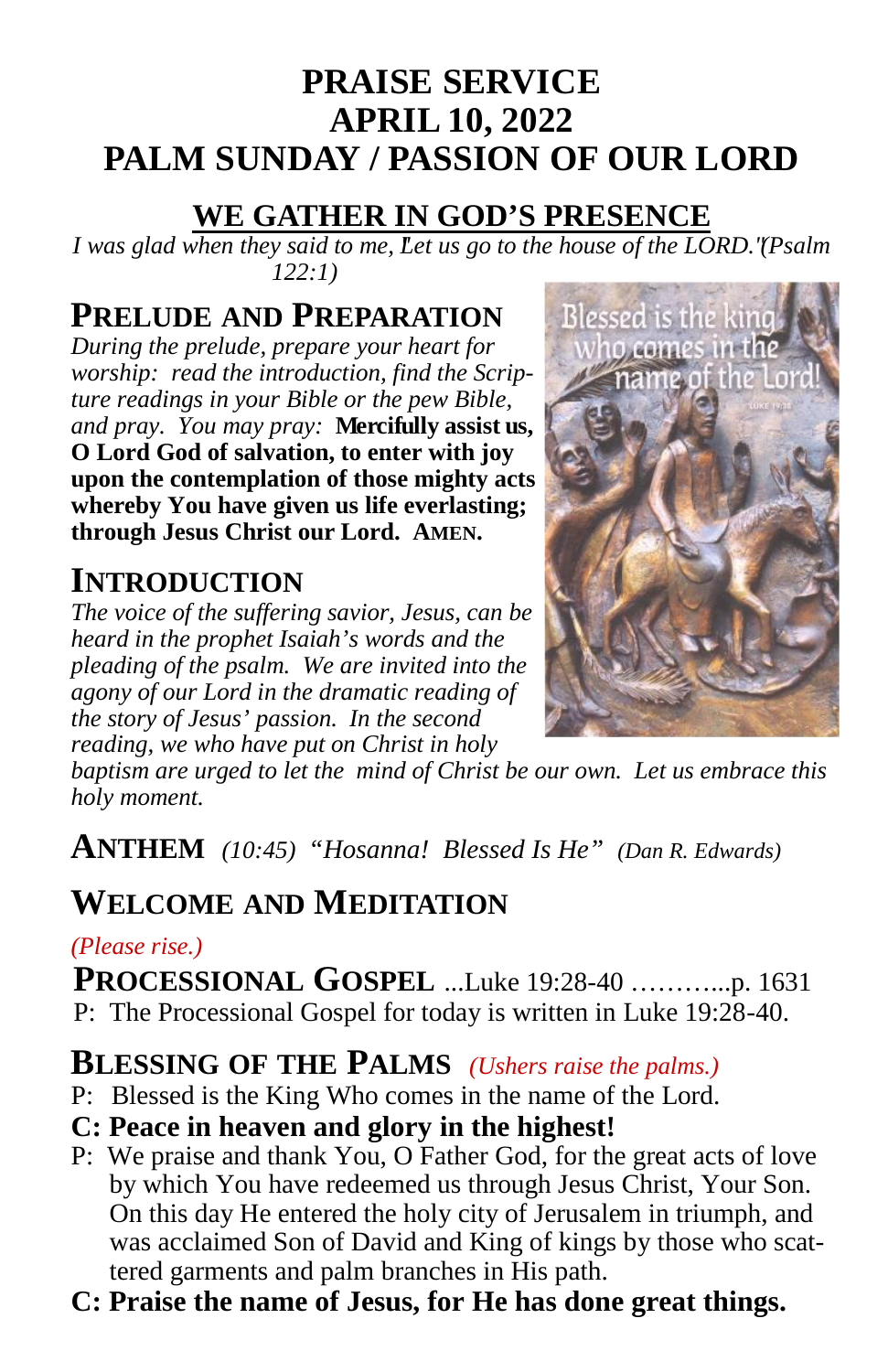# **PRAISE SERVICE APRIL 10, 2022 PALM SUNDAY / PASSION OF OUR LORD**

## **WE GATHER IN GOD'S PRESENCE**

*I* was glad when they said to me, Let us go to the house of the LORD." (Psalm *122:1)*

# **PRELUDE AND PREPARATION** Blessed is the king<br>*During the prelude, prepare your heart for* who comes in the

*During the prelude, prepare your heart for worship: read the introduction, find the Scripture readings in your Bible or the pew Bible, and pray. You may pray:* **Mercifully assist us, O Lord God of salvation, to enter with joy upon the contemplation of those mighty acts whereby You have given us life everlasting; through Jesus Christ our Lord. AMEN.**

# **INTRODUCTION**

*The voice of the suffering savior, Jesus, can be heard in the prophet Isaiah's words and the pleading of the psalm. We are invited into the agony of our Lord in the dramatic reading of the story of Jesus' passion. In the second reading, we who have put on Christ in holy*



*baptism are urged to let the mind of Christ be our own. Let us embrace this holy moment.*

**ANTHEM** *(10:45) "Hosanna! Blessed Is He" (Dan R. Edwards)*

# **WELCOME AND MEDITATION**

#### *(Please rise.)*

**PROCESSIONAL GOSPEL** ...Luke 19:28-40 ………...p. 1631 P: The Processional Gospel for today is written in Luke 19:28-40.

# **BLESSING OF THE PALMS** *(Ushers raise the palms.)*

- P: Blessed is the King Who comes in the name of the Lord.
- **C: Peace in heaven and glory in the highest!**
- P: We praise and thank You, O Father God, for the great acts of love by which You have redeemed us through Jesus Christ, Your Son. On this day He entered the holy city of Jerusalem in triumph, and was acclaimed Son of David and King of kings by those who scattered garments and palm branches in His path.
- **C: Praise the name of Jesus, for He has done great things.**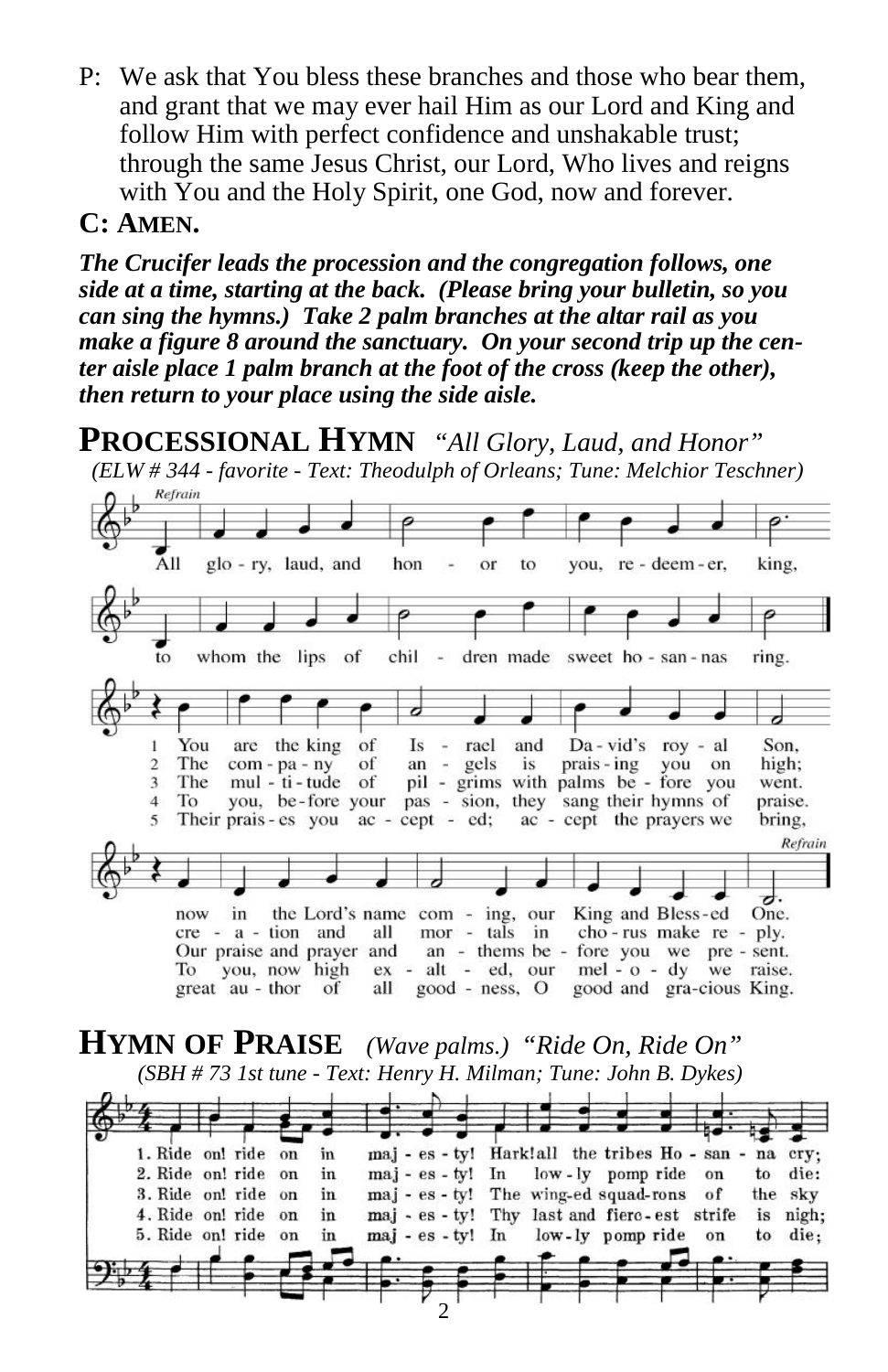P: We ask that You bless these branches and those who bear them, and grant that we may ever hail Him as our Lord and King and follow Him with perfect confidence and unshakable trust; through the same Jesus Christ, our Lord, Who lives and reigns with You and the Holy Spirit, one God, now and forever.

#### **C: AMEN.**

*The Crucifer leads the procession and the congregation follows, one side at a time, starting at the back. (Please bring your bulletin, so you can sing the hymns.) Take 2 palm branches at the altar rail as you make a figure 8 around the sanctuary. On your second trip up the center aisle place 1 palm branch at the foot of the cross (keep the other), then return to your place using the side aisle.*

**PROCESSIONAL HYMN** *"All Glory, Laud, and Honor"*

*(ELW # 344 - favorite - Text: Theodulph of Orleans; Tune: Melchior Teschner)*



#### **HYMN OF PRAISE** *(Wave palms.) "Ride On, Ride On" (SBH # 73 1st tune - Text: Henry H. Milman; Tune: John B. Dykes)*

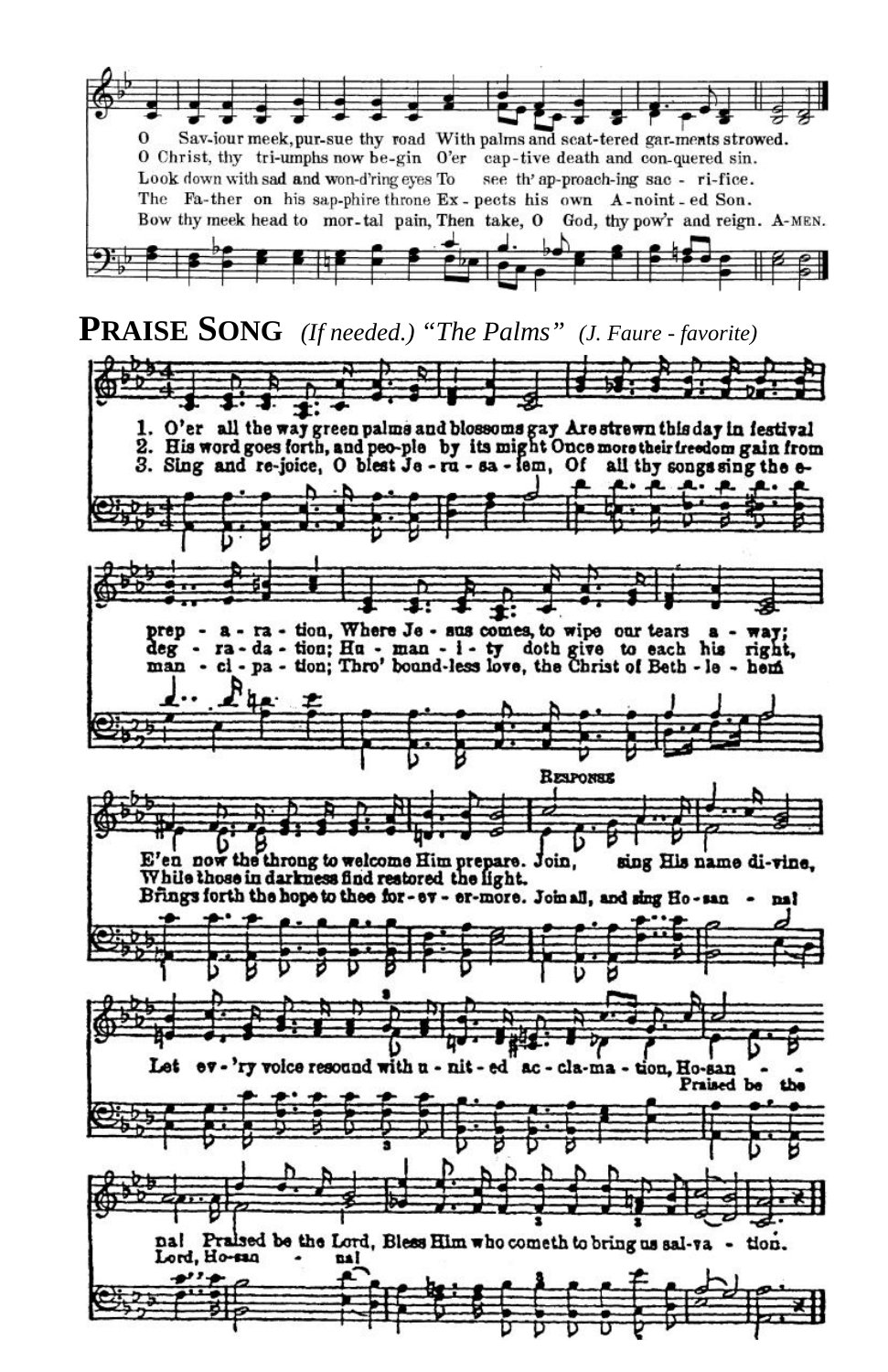Sav-jour meek, pur-sue thy road With palms and scat-tered gar-ments strowed. O Christ, thy tri-umphs now be-gin O'er cap-tive death and con-quered sin. Look down with sad and won-d'ring eyes To see th' ap-proach-ing sac - ri-fice. The Fa-ther on his sap-phire throne Ex-pects his own A-noint - ed Son. Bow thy meek head to mor-tal pain, Then take, O God, thy pow'r and reign. A-MEN.

**PRAISE SONG** *(If needed.) "The Palms" (J. Faure - favorite)*

O'er all the way green palms and blossoms gay Are strewn this day in festival<br>His word goes forth, and peo-ple by its might Once more their freedom gain from 3. Sing and re-joice, O blest Je - ru - sa - lem, Of all thy songs sing the e-م. به - a - ra - tion, Where Je - sus comes, to wipe our tears  $a - \pi a$ ;<br>- ra - da - tion; Hu - man - i - ty doth give to each his right,<br>- ci - pa - tion; Thro' bound-less love, the Christ of Beth - le - hem prep deg man **RESPONSE** E'en now the throng to welcome Him prepare. Join, sing His name di-vine. While those in darkness find restored the light. Brings forth the hope to thee for-ev - er-more. Joinall, and sing Ho-san na! Let ev - 'ry voice resound with u - nit - ed ac - cla-ma - tion, Ho-san Praised be nal Praised be the Lord, Bless Him who cometh to bring us sal-va - tion. Lord, Ho-san **DA** . د مور  $\frac{3}{2}$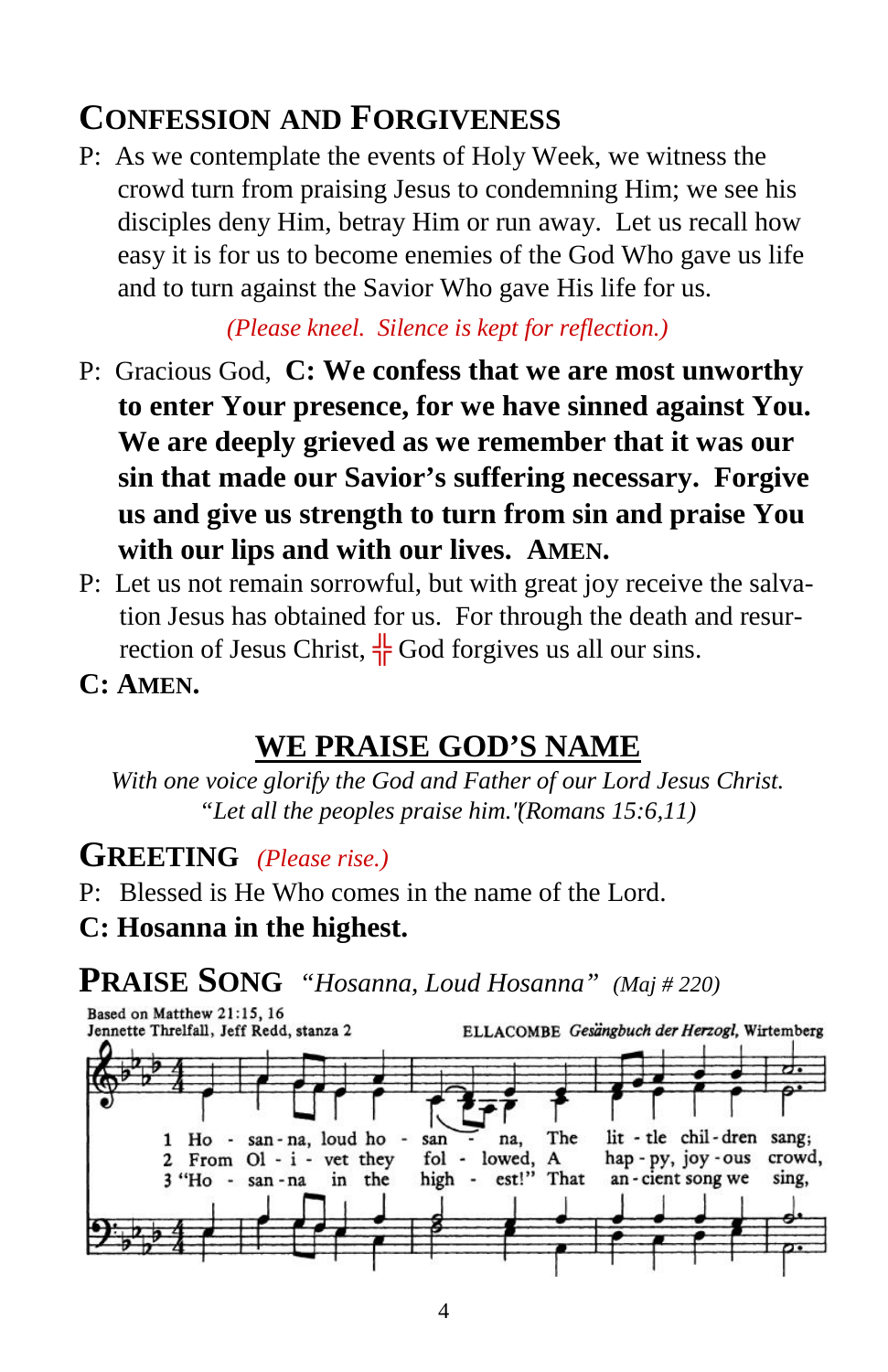# **CONFESSION AND FORGIVENESS**

P: As we contemplate the events of Holy Week, we witness the crowd turn from praising Jesus to condemning Him; we see his disciples deny Him, betray Him or run away. Let us recall how easy it is for us to become enemies of the God Who gave us life and to turn against the Savior Who gave His life for us.

*(Please kneel. Silence is kept for reflection.)*

- P: Gracious God, **C: We confess that we are most unworthy to enter Your presence, for we have sinned against You. We are deeply grieved as we remember that it was our sin that made our Savior's suffering necessary. Forgive us and give us strength to turn from sin and praise You with our lips and with our lives. AMEN.**
- P: Let us not remain sorrowful, but with great joy receive the salvation Jesus has obtained for us. For through the death and resurrection of Jesus Christ, God forgives us all our sins.
- **C: AMEN.**

# **WE PRAISE GOD'S NAME**

*With one voice glorify the God and Father of our Lord Jesus Christ. "Let all the peoples praise him." (Romans 15:6,11)*

### **GREETING** *(Please rise.)*

- P: Blessed is He Who comes in the name of the Lord.
- **C: Hosanna in the highest.**

# **PRAISE SONG** *"Hosanna, Loud Hosanna" (Maj # 220)*

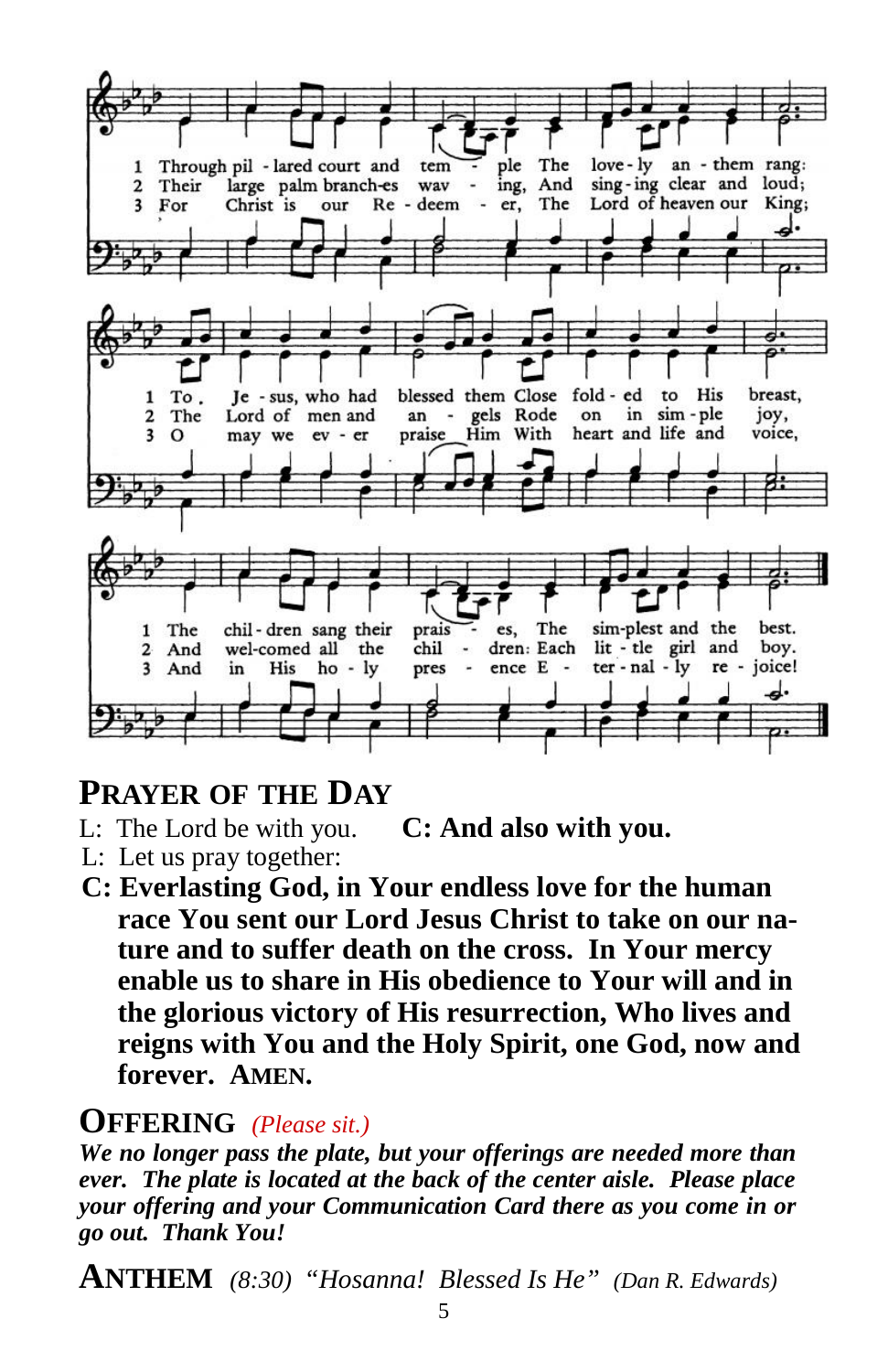

### **PRAYER OF THE DAY**

- L: The Lord be with you. **C: And also with you.**
- L: Let us pray together:
- **C: Everlasting God, in Your endless love for the human race You sent our Lord Jesus Christ to take on our nature and to suffer death on the cross. In Your mercy enable us to share in His obedience to Your will and in the glorious victory of His resurrection, Who lives and reigns with You and the Holy Spirit, one God, now and forever. AMEN.**

### **OFFERING** *(Please sit.)*

*We no longer pass the plate, but your offerings are needed more than ever. The plate is located at the back of the center aisle. Please place your offering and your Communication Card there as you come in or go out. Thank You!*

**ANTHEM** *(8:30) "Hosanna! Blessed Is He" (Dan R. Edwards)*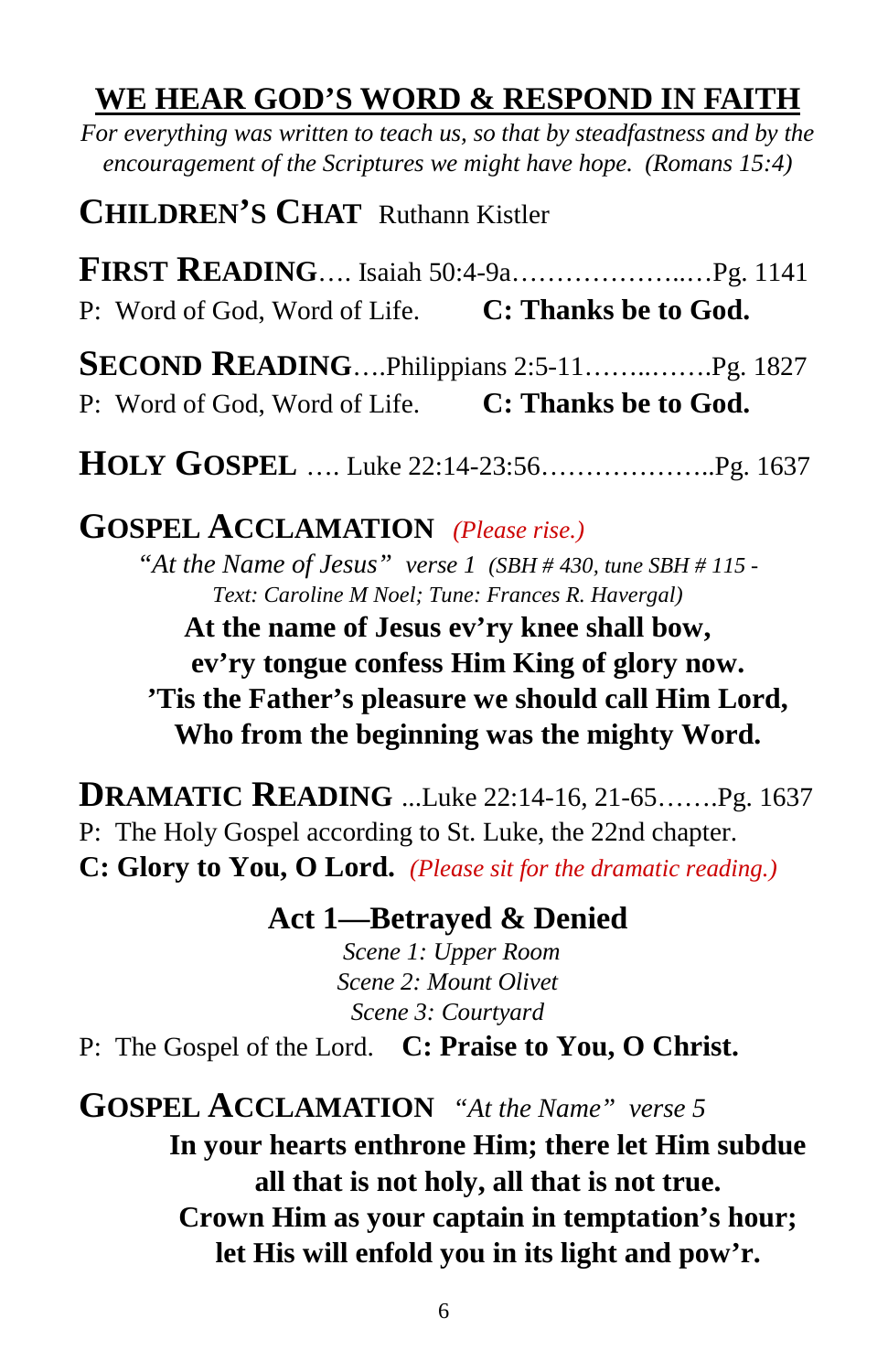### **WE HEAR GOD'S WORD & RESPOND IN FAITH**

*For everything was written to teach us, so that by steadfastness and by the encouragement of the Scriptures we might have hope. (Romans 15:4)*

**CHILDREN'S CHAT** Ruthann Kistler

**FIRST READING**…. Isaiah 50:4-9a………………..…Pg. 1141 P: Word of God, Word of Life. **C: Thanks be to God.**

**SECOND READING**….Philippians 2:5-11……..…….Pg. 1827 P: Word of God, Word of Life. **C: Thanks be to God.**

**HOLY GOSPEL** …. Luke 22:14-23:56………………..Pg. 1637

**GOSPEL ACCLAMATION** *(Please rise.)*

*"At the Name of Jesus" verse 1 (SBH # 430, tune SBH # 115 - Text: Caroline M Noel; Tune: Frances R. Havergal)*

**At the name of Jesus ev'ry knee shall bow, ev'ry tongue confess Him King of glory now. 'Tis the Father's pleasure we should call Him Lord, Who from the beginning was the mighty Word.**

**DRAMATIC READING** ...Luke 22:14-16, 21-65…….Pg. 1637 P: The Holy Gospel according to St. Luke, the 22nd chapter. **C: Glory to You, O Lord.** *(Please sit for the dramatic reading.)*

**Act 1—Betrayed & Denied**

*Scene 1: Upper Room Scene 2: Mount Olivet Scene 3: Courtyard*

P: The Gospel of the Lord. **C: Praise to You, O Christ.**

**GOSPEL ACCLAMATION** *"At the Name" verse 5* **In your hearts enthrone Him; there let Him subdue all that is not holy, all that is not true. Crown Him as your captain in temptation's hour; let His will enfold you in its light and pow'r.**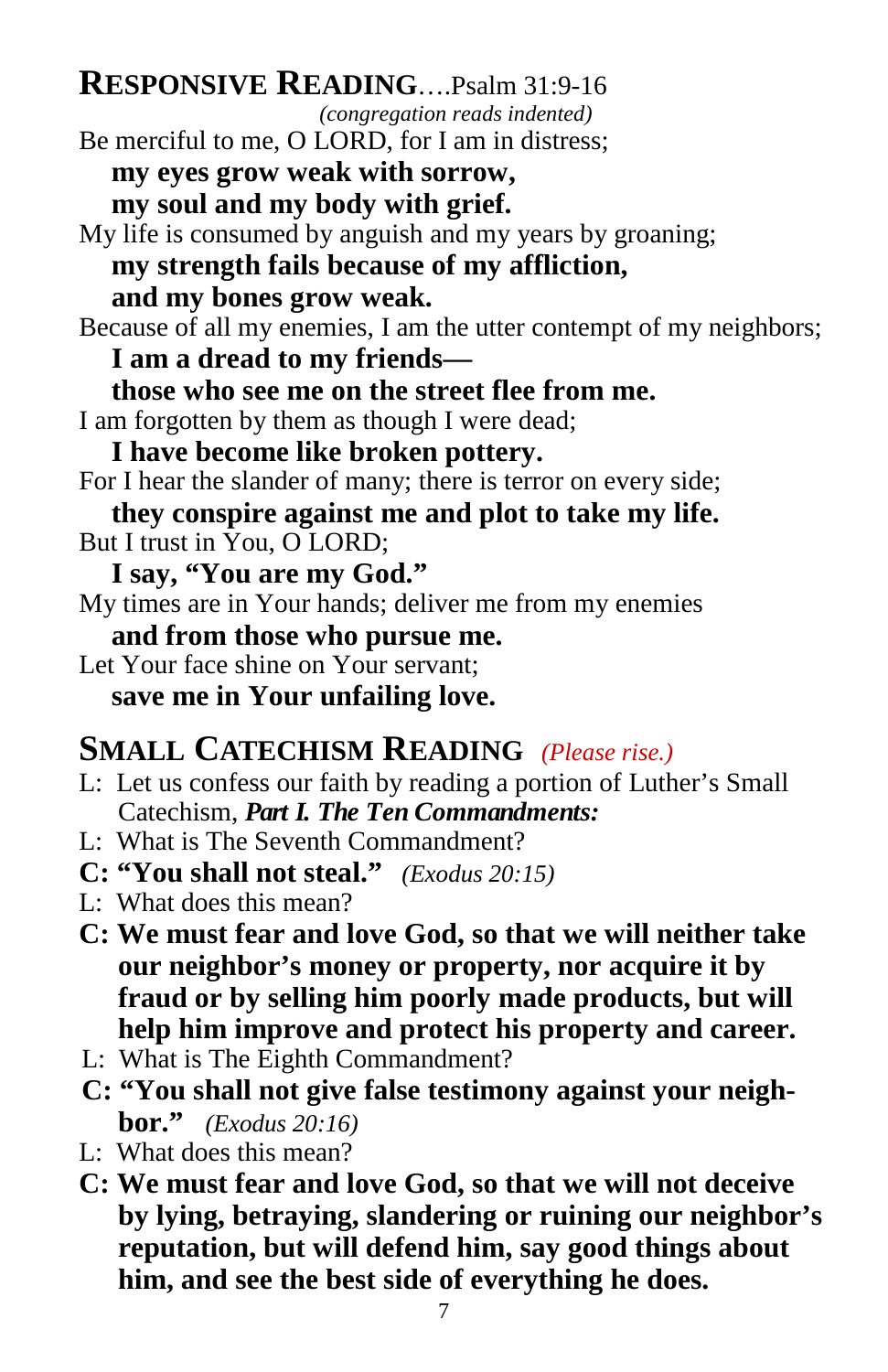## **RESPONSIVE READING**….Psalm 31:9-16

*(congregation reads indented)*

- Be merciful to me, O LORD, for I am in distress;
	- **my eyes grow weak with sorrow,**
	- **my soul and my body with grief.**
- My life is consumed by anguish and my years by groaning;

#### **my strength fails because of my affliction, and my bones grow weak.**

Because of all my enemies, I am the utter contempt of my neighbors; **I am a dread to my friends—**

**those who see me on the street flee from me.**

I am forgotten by them as though I were dead;

#### **I have become like broken pottery.**

- For I hear the slander of many; there is terror on every side;
- **they conspire against me and plot to take my life.**
- But I trust in You, O LORD;
	- **I say, "You are my God."**
- My times are in Your hands; deliver me from my enemies

### **and from those who pursue me.**

Let Your face shine on Your servant: **save me in Your unfailing love.**

# **SMALL CATECHISM READING** *(Please rise.)*

- L: Let us confess our faith by reading a portion of Luther's Small Catechism, *Part I. The Ten Commandments:*
- L: What is The Seventh Commandment?
- **C: "You shall not steal."** *(Exodus 20:15)*
- L: What does this mean?
- **C: We must fear and love God, so that we will neither take our neighbor's money or property, nor acquire it by fraud or by selling him poorly made products, but will help him improve and protect his property and career.**
- L: What is The Eighth Commandment?
- **C: "You shall not give false testimony against your neighbor."** *(Exodus 20:16)*
- L: What does this mean?
- **C: We must fear and love God, so that we will not deceive by lying, betraying, slandering or ruining our neighbor's reputation, but will defend him, say good things about him, and see the best side of everything he does.**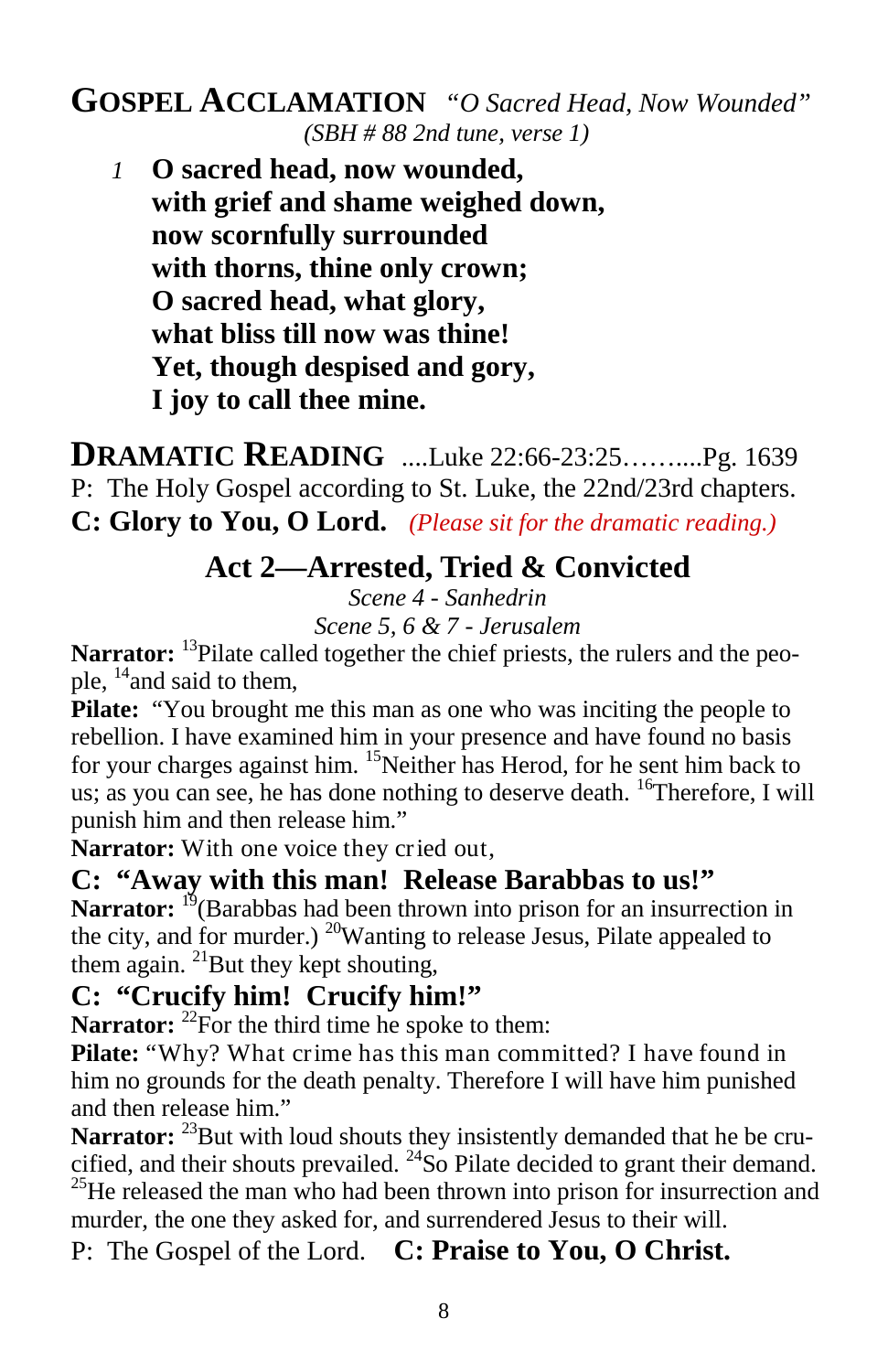#### **GOSPEL ACCLAMATION** *"O Sacred Head, Now Wounded" (SBH # 88 2nd tune, verse 1)*

*1* **O sacred head, now wounded, with grief and shame weighed down, now scornfully surrounded with thorns, thine only crown; O sacred head, what glory, what bliss till now was thine! Yet, though despised and gory, I joy to call thee mine.**

**DRAMATIC READING** ....Luke 22:66-23:25……....Pg. 1639 P: The Holy Gospel according to St. Luke, the 22nd/23rd chapters. **C: Glory to You, O Lord.** *(Please sit for the dramatic reading.)*

**Act 2—Arrested, Tried & Convicted**

*Scene 4 - Sanhedrin*

*Scene 5, 6 & 7 - Jerusalem*

Narrator: <sup>13</sup>Pilate called together the chief priests, the rulers and the people,  $^{14}$  and said to them,

**Pilate:** "You brought me this man as one who was inciting the people to rebellion. I have examined him in your presence and have found no basis for your charges against him. <sup>15</sup>Neither has Herod, for he sent him back to us; as you can see, he has done nothing to deserve death. <sup>16</sup>Therefore, I will punish him and then release him."

**Narrator:** With one voice they cried out,

**C: "Away with this man! Release Barabbas to us!"** Narrator: <sup>19</sup> (Barabbas had been thrown into prison for an insurrection in the city, and for murder.) <sup>20</sup>Wanting to release Jesus, Pilate appealed to them again.  $^{21}$ But they kept shouting,

#### **C: "Crucify him! Crucify him!"**

**Narrator:** <sup>22</sup>For the third time he spoke to them:

**Pilate:** "Why? What crime has this man committed? I have found in him no grounds for the death penalty. Therefore I will have him punished and then release him."

Narrator: <sup>23</sup>But with loud shouts they insistently demanded that he be crucified, and their shouts prevailed. <sup>24</sup>So Pilate decided to grant their demand.  $^{25}$ He released the man who had been thrown into prison for insurrection and murder, the one they asked for, and surrendered Jesus to their will.

P: The Gospel of the Lord. **C: Praise to You, O Christ.**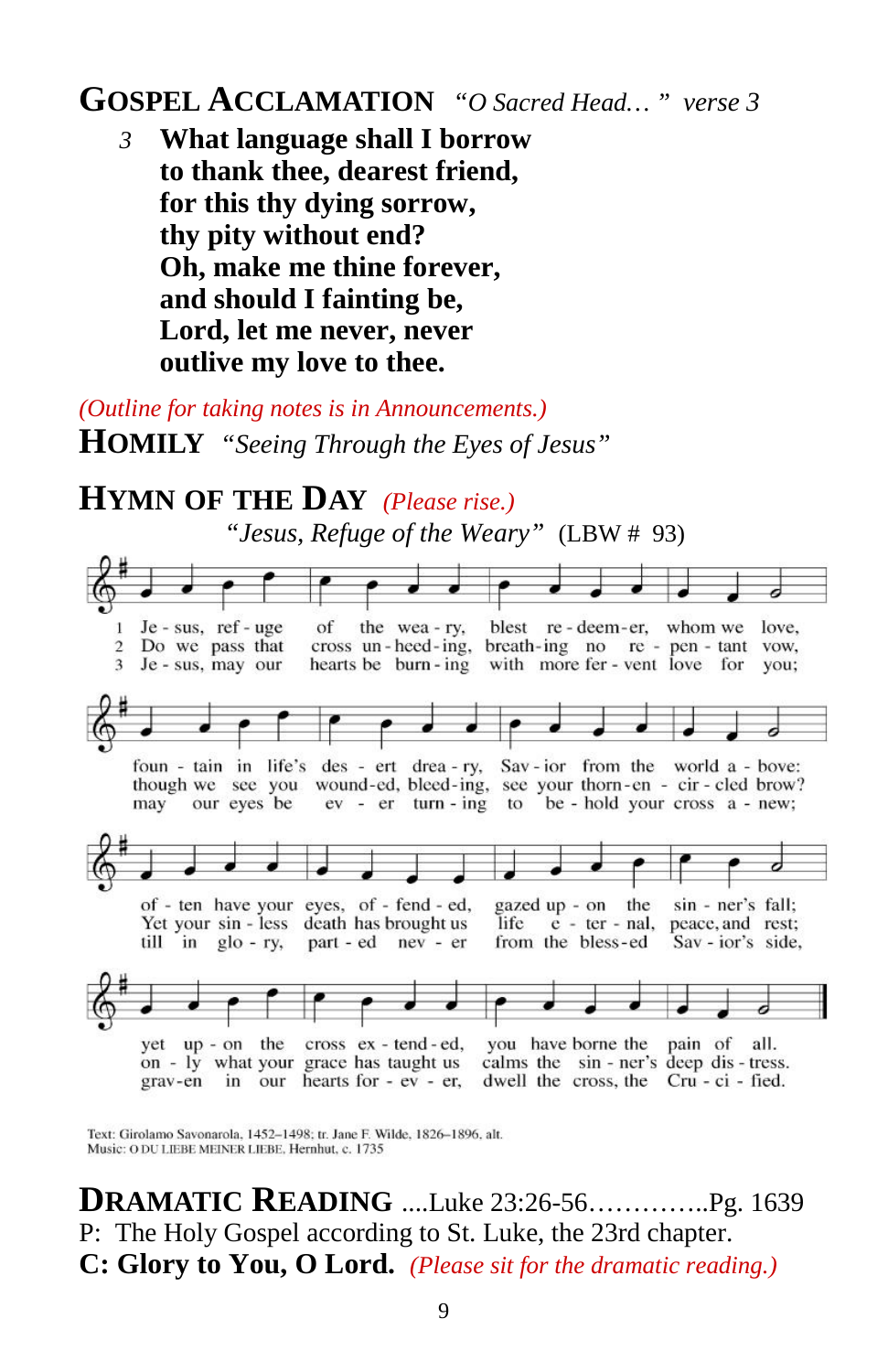### **GOSPEL ACCLAMATION** *"O Sacred Head… " verse 3*

*3* **What language shall I borrow to thank thee, dearest friend, for this thy dying sorrow, thy pity without end? Oh, make me thine forever, and should I fainting be, Lord, let me never, never outlive my love to thee.**

*(Outline for taking notes is in Announcements.)* **HOMILY** *"Seeing Through the Eyes of Jesus"*

**HYMN OF THE DAY** *(Please rise.) "Jesus, Refuge of the Weary"* (LBW # 93)



Text: Girolamo Savonarola, 1452-1498; tr. Jane F. Wilde, 1826-1896, alt. Music: O DU LIEBE MEINER LIEBE, Hernhut, c. 1735

**DRAMATIC READING** ....Luke 23:26-56…………..Pg. 1639 P: The Holy Gospel according to St. Luke, the 23rd chapter. **C: Glory to You, O Lord.** *(Please sit for the dramatic reading.)*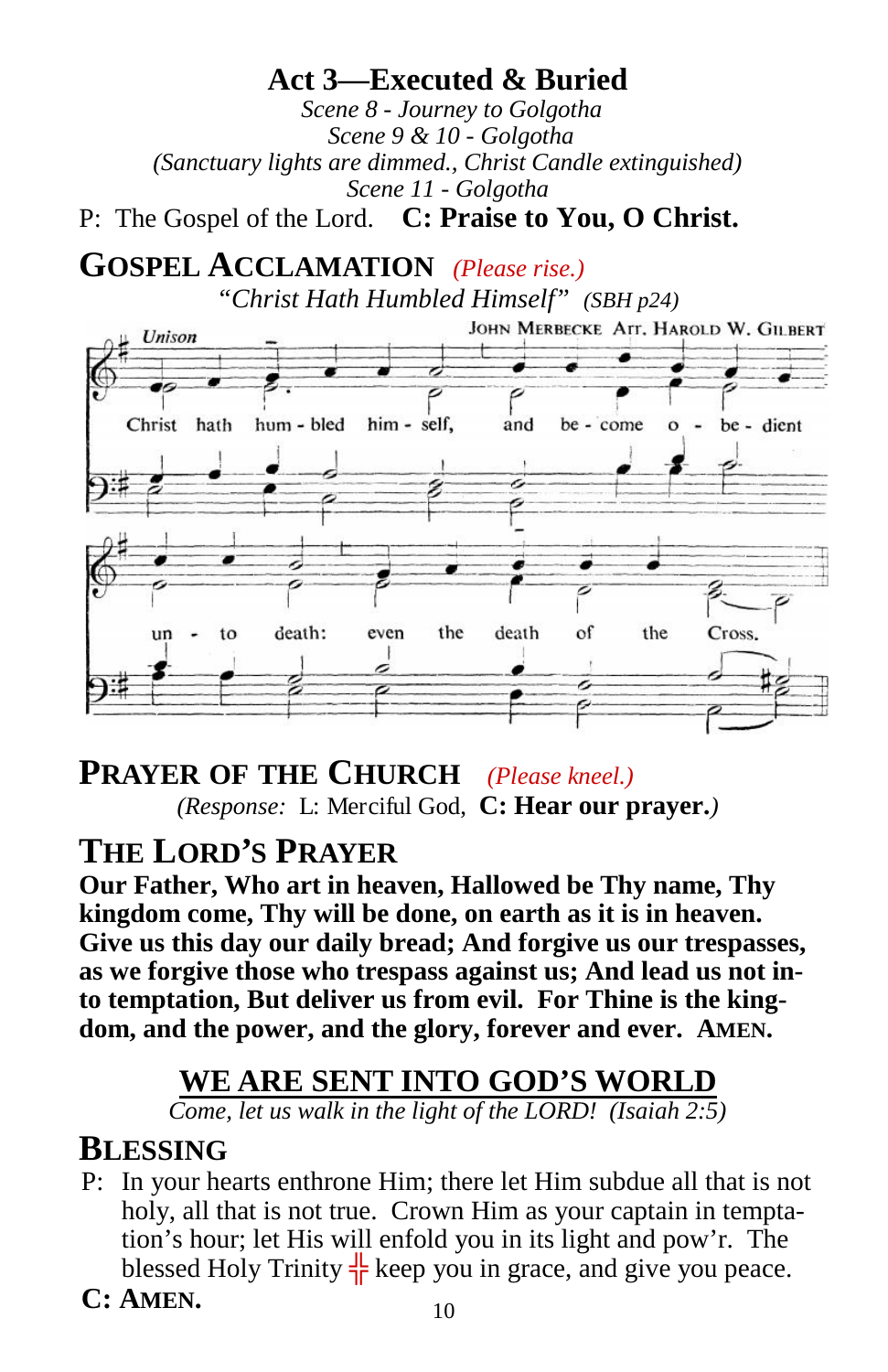**Act 3—Executed & Buried** *Scene 8 - Journey to Golgotha Scene 9 & 10 - Golgotha (Sanctuary lights are dimmed., Christ Candle extinguished) Scene 11 - Golgotha* P: The Gospel of the Lord. **C: Praise to You, O Christ.**

**GOSPEL ACCLAMATION** *(Please rise.) "Christ Hath Humbled Himself" (SBH p24)*



**PRAYER OF THE CHURCH** *(Please kneel.) (Response:* L: Merciful God, **C: Hear our prayer.***)*

# **THE LORD'S PRAYER**

**Our Father, Who art in heaven, Hallowed be Thy name, Thy kingdom come, Thy will be done, on earth as it is in heaven. Give us this day our daily bread; And forgive us our trespasses, as we forgive those who trespass against us; And lead us not into temptation, But deliver us from evil. For Thine is the kingdom, and the power, and the glory, forever and ever. AMEN.**

### **WE ARE SENT INTO GOD'S WORLD**

*Come, let us walk in the light of the LORD! (Isaiah 2:5)*

#### **BLESSING**

- P: In your hearts enthrone Him; there let Him subdue all that is not holy, all that is not true. Crown Him as your captain in temptation's hour; let His will enfold you in its light and pow'r. The blessed Holy Trinity keep you in grace, and give you peace.
- **C: AMEN.**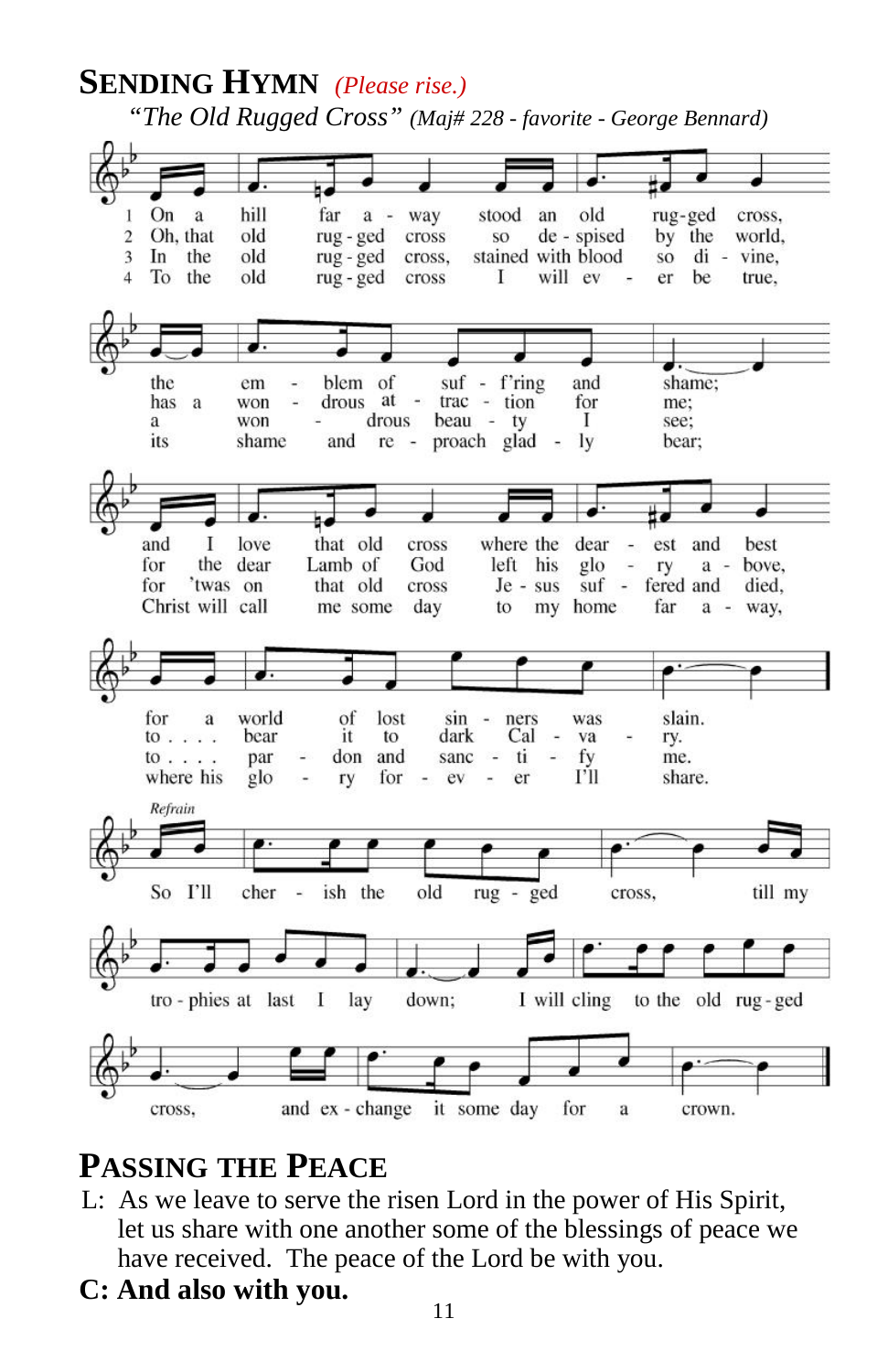# **SENDING HYMN** *(Please rise.)*

*"The Old Rugged Cross" (Maj# 228 - favorite - George Bennard)*



# **PASSING THE PEACE**

- L: As we leave to serve the risen Lord in the power of His Spirit, let us share with one another some of the blessings of peace we have received. The peace of the Lord be with you.
- **C: And also with you.**